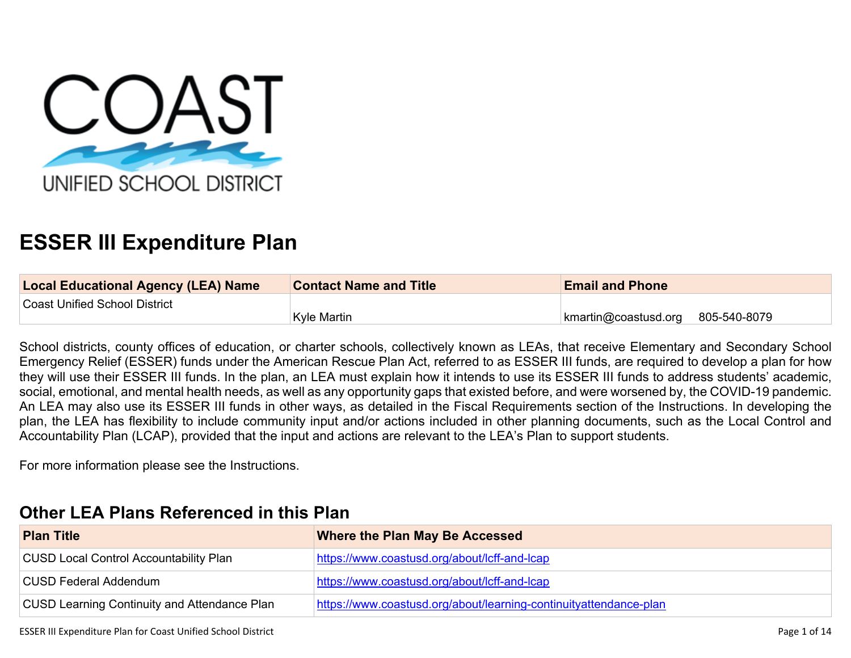

# **ESSER III Expenditure Plan**

| <b>Local Educational Agency (LEA) Name</b> | <b>Contact Name and Title</b> | <b>Email and Phone</b>                     |
|--------------------------------------------|-------------------------------|--------------------------------------------|
| Coast Unified School District              |                               |                                            |
|                                            | <b>Kyle Martin</b>            | $\kappa$ kmartin@coastusd.org 805-540-8079 |

School districts, county offices of education, or charter schools, collectively known as LEAs, that receive Elementary and Secondary School Emergency Relief (ESSER) funds under the American Rescue Plan Act, referred to as ESSER III funds, are required to develop a plan for how they will use their ESSER III funds. In the plan, an LEA must explain how it intends to use its ESSER III funds to address students' academic, social, emotional, and mental health needs, as well as any opportunity gaps that existed before, and were worsened by, the COVID-19 pandemic. An LEA may also use its ESSER III funds in other ways, as detailed in the Fiscal Requirements section of the Instructions. In developing the plan, the LEA has flexibility to include community input and/or actions included in other planning documents, such as the Local Control and Accountability Plan (LCAP), provided that the input and actions are relevant to the LEA's Plan to support students.

For more information please see the Instructions.

# **[Other LEA Plans Referenced in this Plan](#page-8-0)**

| <b>Plan Title</b>                                   | <b>Where the Plan May Be Accessed</b>                             |
|-----------------------------------------------------|-------------------------------------------------------------------|
| <b>CUSD Local Control Accountability Plan</b>       | https://www.coastusd.org/about/lcff-and-lcap                      |
| CUSD Federal Addendum                               | https://www.coastusd.org/about/lcff-and-lcap                      |
| <b>CUSD Learning Continuity and Attendance Plan</b> | https://www.coastusd.org/about/learning-continuityattendance-plan |

ESSER III Expenditure Plan for Coast Unified School District **National School District** Page 1 of 14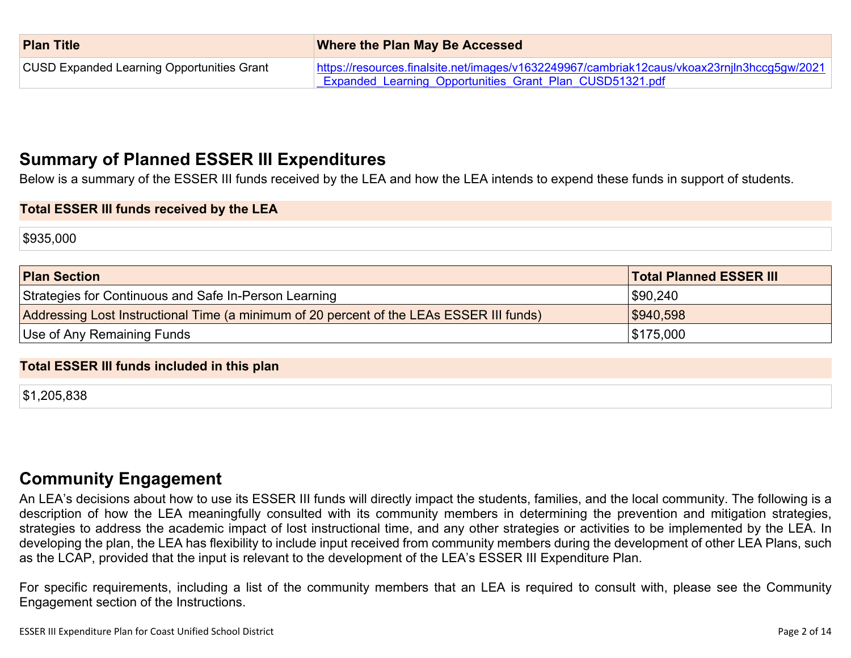| <b>Plan Title</b>                                 | <b>Where the Plan May Be Accessed</b>                                                       |  |
|---------------------------------------------------|---------------------------------------------------------------------------------------------|--|
| <b>CUSD Expanded Learning Opportunities Grant</b> | https://resources.finalsite.net/images/v1632249967/cambriak12caus/vkoax23rnjln3hccg5gw/2021 |  |
|                                                   | <b>Expanded Learning Opportunities Grant Plan CUSD51321.pdf</b>                             |  |

# **[Summary of Planned ESSER III Expenditures](#page-8-1)**

Below is a summary of the ESSER III funds received by the LEA and how the LEA intends to expend these funds in support of students.

#### **Total ESSER III funds received by the LEA**

\$935,000

| <b>Plan Section</b>                                                                      | <b>Total Planned ESSER III</b> |
|------------------------------------------------------------------------------------------|--------------------------------|
| Strategies for Continuous and Safe In-Person Learning                                    | \$90,240                       |
| Addressing Lost Instructional Time (a minimum of 20 percent of the LEAs ESSER III funds) | \$940,598                      |
| Use of Any Remaining Funds                                                               | \$175,000                      |

#### **Total ESSER III funds included in this plan**

\$1,205,838

## **[Community Engagement](#page-9-0)**

An LEA's decisions about how to use its ESSER III funds will directly impact the students, families, and the local community. The following is a description of how the LEA meaningfully consulted with its community members in determining the prevention and mitigation strategies, strategies to address the academic impact of lost instructional time, and any other strategies or activities to be implemented by the LEA. In developing the plan, the LEA has flexibility to include input received from community members during the development of other LEA Plans, such as the LCAP, provided that the input is relevant to the development of the LEA's ESSER III Expenditure Plan.

For specific requirements, including a list of the community members that an LEA is required to consult with, please see the Community Engagement section of the Instructions.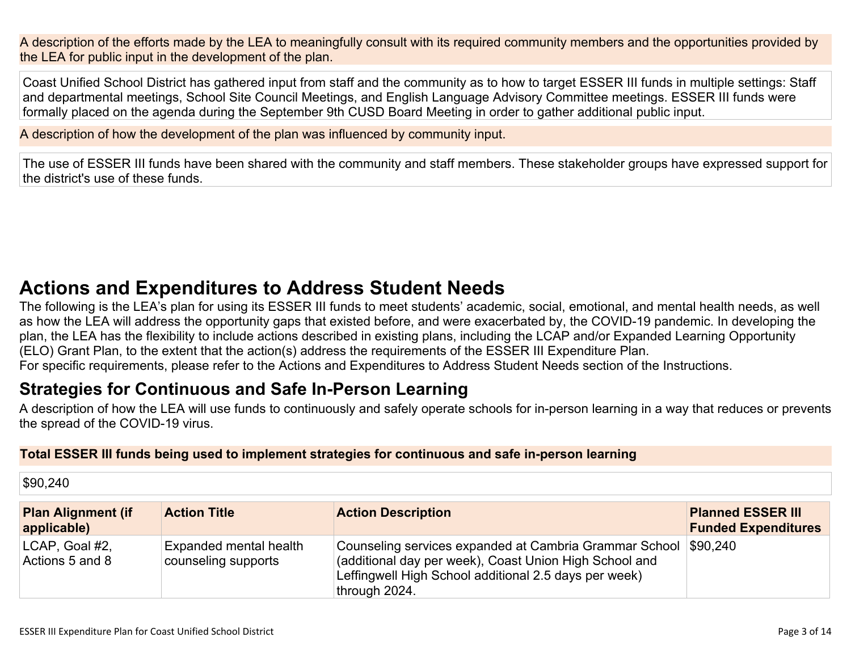A description of the efforts made by the LEA to meaningfully consult with its required community members and the opportunities provided by the LEA for public input in the development of the plan.

Coast Unified School District has gathered input from staff and the community as to how to target ESSER III funds in multiple settings: Staff and departmental meetings, School Site Council Meetings, and English Language Advisory Committee meetings. ESSER III funds were formally placed on the agenda during the September 9th CUSD Board Meeting in order to gather additional public input.

A description of how the development of the plan was influenced by community input.

The use of ESSER III funds have been shared with the community and staff members. These stakeholder groups have expressed support for the district's use of these funds.

# **[Actions and Expenditures to Address Student Needs](#page-11-0)**

The following is the LEA's plan for using its ESSER III funds to meet students' academic, social, emotional, and mental health needs, as well as how the LEA will address the opportunity gaps that existed before, and were exacerbated by, the COVID-19 pandemic. In developing the plan, the LEA has the flexibility to include actions described in existing plans, including the LCAP and/or Expanded Learning Opportunity (ELO) Grant Plan, to the extent that the action(s) address the requirements of the ESSER III Expenditure Plan. For specific requirements, please refer to the Actions and Expenditures to Address Student Needs section of the Instructions.

# **[Strategies for Continuous and Safe In-Person Learning](#page-11-1)**

A description of how the LEA will use funds to continuously and safely operate schools for in-person learning in a way that reduces or prevents the spread of the COVID-19 virus.

### **Total ESSER III funds being used to implement strategies for continuous and safe in-person learning**

\$90,240

| <b>Plan Alignment (if</b><br>applicable) | <b>Action Title</b>                           | <b>Action Description</b>                                                                                                                                                                  | <b>Planned ESSER III</b><br><b>Funded Expenditures</b> |
|------------------------------------------|-----------------------------------------------|--------------------------------------------------------------------------------------------------------------------------------------------------------------------------------------------|--------------------------------------------------------|
| LCAP, Goal #2,<br>Actions 5 and 8        | Expanded mental health<br>counseling supports | Counseling services expanded at Cambria Grammar School<br>(additional day per week), Coast Union High School and<br>Leffingwell High School additional 2.5 days per week)<br>through 2024. | \$90,240                                               |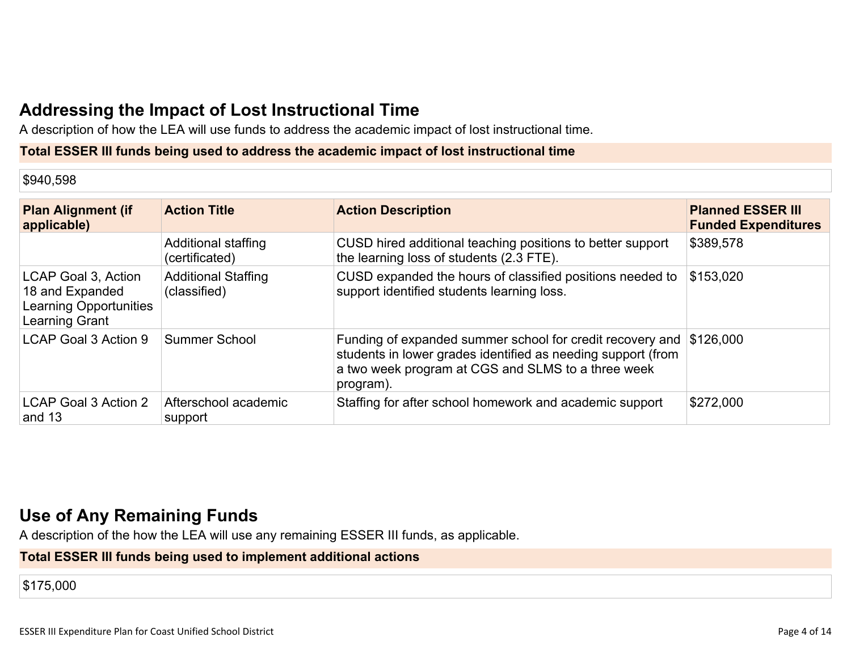# **[Addressing the Impact of Lost Instructional Time](#page-12-0)**

A description of how the LEA will use funds to address the academic impact of lost instructional time.

#### **Total ESSER III funds being used to address the academic impact of lost instructional time**

\$940,598

| <b>Plan Alignment (if</b><br>applicable)                                                  | <b>Action Title</b>                        | <b>Action Description</b>                                                                                                                                                                    | <b>Planned ESSER III</b><br><b>Funded Expenditures</b> |
|-------------------------------------------------------------------------------------------|--------------------------------------------|----------------------------------------------------------------------------------------------------------------------------------------------------------------------------------------------|--------------------------------------------------------|
|                                                                                           | Additional staffing<br>(certificated)      | CUSD hired additional teaching positions to better support<br>the learning loss of students (2.3 FTE).                                                                                       | \$389,578                                              |
| LCAP Goal 3, Action<br>18 and Expanded<br><b>Learning Opportunities</b><br>Learning Grant | <b>Additional Staffing</b><br>(classified) | CUSD expanded the hours of classified positions needed to<br>support identified students learning loss.                                                                                      | \$153,020                                              |
| LCAP Goal 3 Action 9                                                                      | <b>Summer School</b>                       | Funding of expanded summer school for credit recovery and<br>students in lower grades identified as needing support (from<br>a two week program at CGS and SLMS to a three week<br>program). | \$126,000                                              |
| LCAP Goal 3 Action 2<br>and 13                                                            | Afterschool academic<br>support            | Staffing for after school homework and academic support                                                                                                                                      | \$272,000                                              |

# **[Use of Any Remaining Funds](#page-12-1)**

A description of the how the LEA will use any remaining ESSER III funds, as applicable.

## **Total ESSER III funds being used to implement additional actions**

\$175,000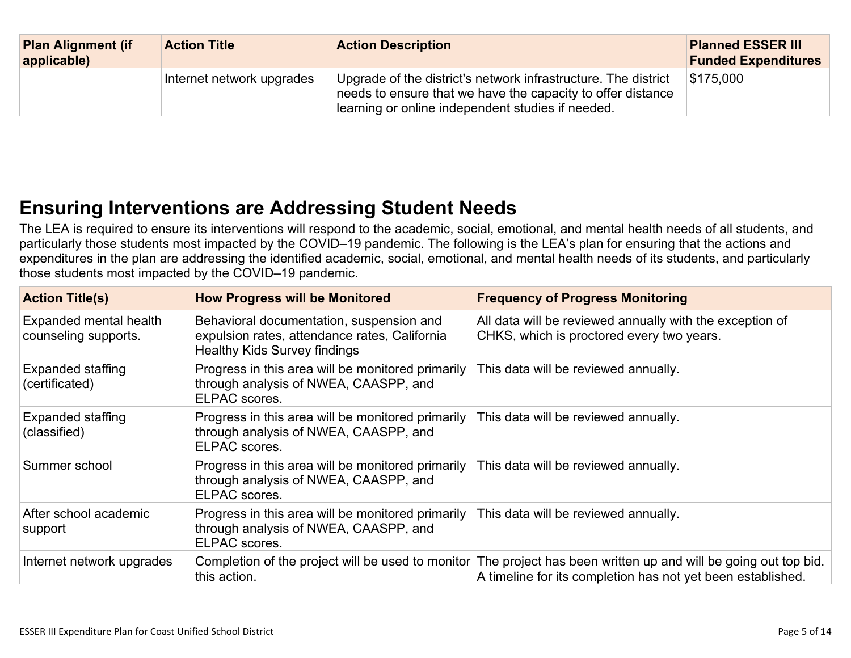| <b>Plan Alignment (if</b><br>applicable) | <b>Action Title</b>       | <b>Action Description</b>                                                                                                                                                          | <b>Planned ESSER III</b><br><b>Funded Expenditures</b> |
|------------------------------------------|---------------------------|------------------------------------------------------------------------------------------------------------------------------------------------------------------------------------|--------------------------------------------------------|
|                                          | Internet network upgrades | Upgrade of the district's network infrastructure. The district<br>needs to ensure that we have the capacity to offer distance<br>learning or online independent studies if needed. | $\$175,000$                                            |

# **[Ensuring Interventions are Addressing Student Needs](#page-12-2)**

The LEA is required to ensure its interventions will respond to the academic, social, emotional, and mental health needs of all students, and particularly those students most impacted by the COVID–19 pandemic. The following is the LEA's plan for ensuring that the actions and expenditures in the plan are addressing the identified academic, social, emotional, and mental health needs of its students, and particularly those students most impacted by the COVID–19 pandemic.

| <b>Action Title(s)</b>                         | <b>How Progress will be Monitored</b>                                                                                            | <b>Frequency of Progress Monitoring</b>                                                                                                                                         |
|------------------------------------------------|----------------------------------------------------------------------------------------------------------------------------------|---------------------------------------------------------------------------------------------------------------------------------------------------------------------------------|
| Expanded mental health<br>counseling supports. | Behavioral documentation, suspension and<br>expulsion rates, attendance rates, California<br><b>Healthy Kids Survey findings</b> | All data will be reviewed annually with the exception of<br>CHKS, which is proctored every two years.                                                                           |
| <b>Expanded staffing</b><br>(certificated)     | Progress in this area will be monitored primarily<br>through analysis of NWEA, CAASPP, and<br>ELPAC scores.                      | This data will be reviewed annually.                                                                                                                                            |
| <b>Expanded staffing</b><br>(classified)       | Progress in this area will be monitored primarily<br>through analysis of NWEA, CAASPP, and<br>ELPAC scores.                      | This data will be reviewed annually.                                                                                                                                            |
| Summer school                                  | Progress in this area will be monitored primarily<br>through analysis of NWEA, CAASPP, and<br>ELPAC scores.                      | This data will be reviewed annually.                                                                                                                                            |
| After school academic<br>support               | Progress in this area will be monitored primarily<br>through analysis of NWEA, CAASPP, and<br>ELPAC scores.                      | This data will be reviewed annually.                                                                                                                                            |
| Internet network upgrades                      | this action.                                                                                                                     | Completion of the project will be used to monitor The project has been written up and will be going out top bid.<br>A timeline for its completion has not yet been established. |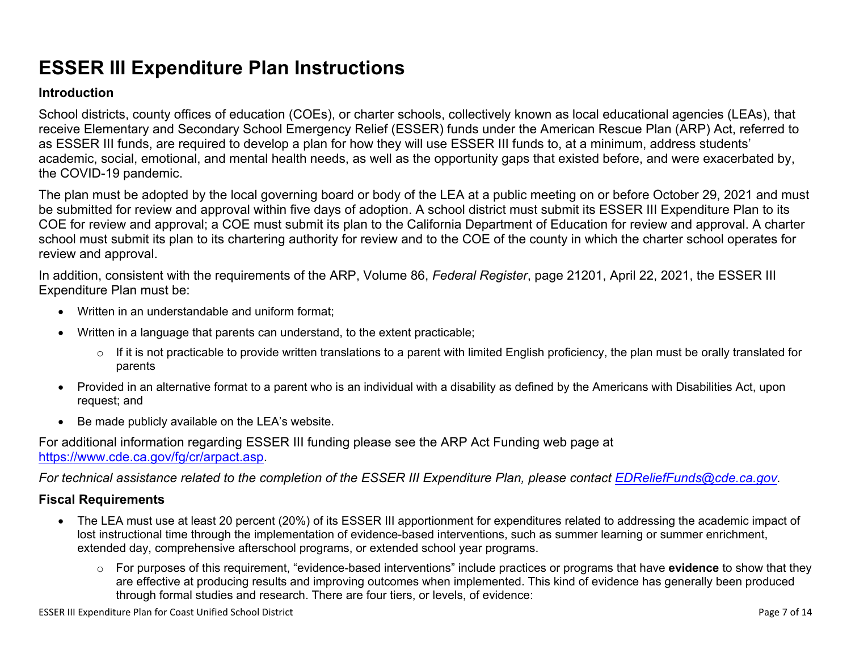# **ESSER III Expenditure Plan Instructions**

#### **Introduction**

School districts, county offices of education (COEs), or charter schools, collectively known as local educational agencies (LEAs), that receive Elementary and Secondary School Emergency Relief (ESSER) funds under the American Rescue Plan (ARP) Act, referred to as ESSER III funds, are required to develop a plan for how they will use ESSER III funds to, at a minimum, address students' academic, social, emotional, and mental health needs, as well as the opportunity gaps that existed before, and were exacerbated by, the COVID-19 pandemic.

The plan must be adopted by the local governing board or body of the LEA at a public meeting on or before October 29, 2021 and must be submitted for review and approval within five days of adoption. A school district must submit its ESSER III Expenditure Plan to its COE for review and approval; a COE must submit its plan to the California Department of Education for review and approval. A charter school must submit its plan to its chartering authority for review and to the COE of the county in which the charter school operates for review and approval.

In addition, consistent with the requirements of the ARP, Volume 86, *Federal Register*, page 21201, April 22, 2021, the ESSER III Expenditure Plan must be:

- Written in an understandable and uniform format;
- Written in a language that parents can understand, to the extent practicable;
	- $\circ$  If it is not practicable to provide written translations to a parent with limited English proficiency, the plan must be orally translated for parents
- Provided in an alternative format to a parent who is an individual with a disability as defined by the Americans with Disabilities Act, upon request; and
- Be made publicly available on the LEA's website.

For additional information regarding ESSER III funding please see the ARP Act Funding web page at <https://www.cde.ca.gov/fg/cr/arpact.asp>.

*For technical assistance related to the completion of the ESSER III Expenditure Plan, please contact [EDReliefFunds@cde.ca.gov](mailto:EDReliefFunds@cde.ca.gov).* 

### **Fiscal Requirements**

- The LEA must use at least 20 percent (20%) of its ESSER III apportionment for expenditures related to addressing the academic impact of lost instructional time through the implementation of evidence-based interventions, such as summer learning or summer enrichment, extended day, comprehensive afterschool programs, or extended school year programs.
	- o For purposes of this requirement, "evidence-based interventions" include practices or programs that have **evidence** to show that they are effective at producing results and improving outcomes when implemented. This kind of evidence has generally been produced through formal studies and research. There are four tiers, or levels, of evidence: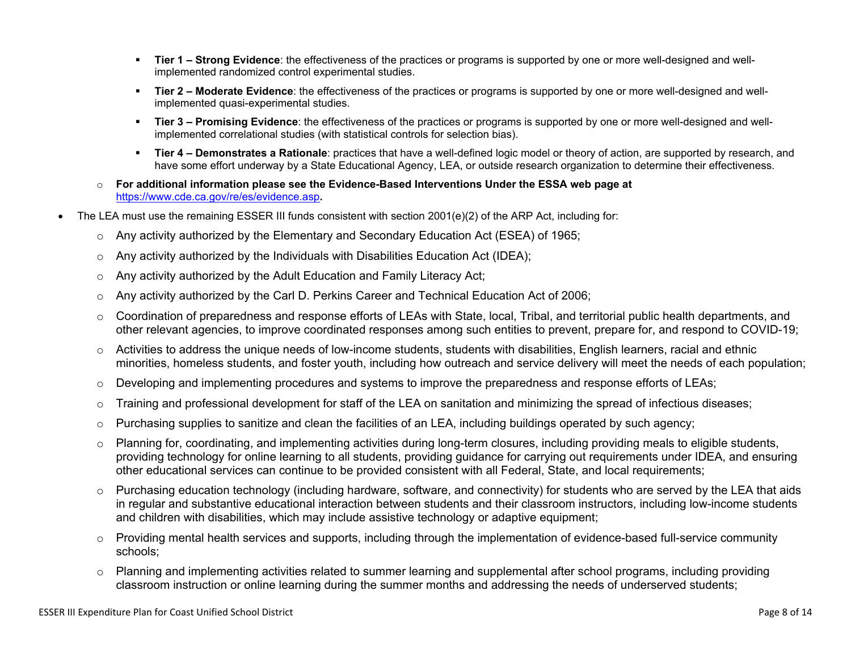- **Tier 1 Strong Evidence**: the effectiveness of the practices or programs is supported by one or more well-designed and wellimplemented randomized control experimental studies.
- **Tier 2 Moderate Evidence**: the effectiveness of the practices or programs is supported by one or more well-designed and wellimplemented quasi-experimental studies.
- Tier 3 Promising Evidence: the effectiveness of the practices or programs is supported by one or more well-designed and wellimplemented correlational studies (with statistical controls for selection bias).
- **EXTIET 4 Demonstrates a Rationale**: practices that have a well-defined logic model or theory of action, are supported by research, and have some effort underway by a State Educational Agency, LEA, or outside research organization to determine their effectiveness.
- o **For additional information please see the Evidence-Based Interventions Under the ESSA web page at**  <https://www.cde.ca.gov/re/es/evidence.asp>**.**
- The LEA must use the remaining ESSER III funds consistent with section 2001(e)(2) of the ARP Act, including for:
	- $\circ$  Any activity authorized by the Elementary and Secondary Education Act (ESEA) of 1965;
	- $\circ$  Any activity authorized by the Individuals with Disabilities Education Act (IDEA);
	- o Any activity authorized by the Adult Education and Family Literacy Act;
	- $\circ$  Any activity authorized by the Carl D. Perkins Career and Technical Education Act of 2006;
	- $\circ$  Coordination of preparedness and response efforts of LEAs with State, local, Tribal, and territorial public health departments, and other relevant agencies, to improve coordinated responses among such entities to prevent, prepare for, and respond to COVID-19;
	- $\circ$  Activities to address the unique needs of low-income students, students with disabilities, English learners, racial and ethnic minorities, homeless students, and foster youth, including how outreach and service delivery will meet the needs of each population;
	- o Developing and implementing procedures and systems to improve the preparedness and response efforts of LEAs;
	- $\circ$  Training and professional development for staff of the LEA on sanitation and minimizing the spread of infectious diseases;
	- $\circ$  Purchasing supplies to sanitize and clean the facilities of an LEA, including buildings operated by such agency;
	- $\circ$  Planning for, coordinating, and implementing activities during long-term closures, including providing meals to eligible students, providing technology for online learning to all students, providing guidance for carrying out requirements under IDEA, and ensuring other educational services can continue to be provided consistent with all Federal, State, and local requirements;
	- $\circ$  Purchasing education technology (including hardware, software, and connectivity) for students who are served by the LEA that aids in regular and substantive educational interaction between students and their classroom instructors, including low-income students and children with disabilities, which may include assistive technology or adaptive equipment;
	- $\circ$  Providing mental health services and supports, including through the implementation of evidence-based full-service community schools;
	- o Planning and implementing activities related to summer learning and supplemental after school programs, including providing classroom instruction or online learning during the summer months and addressing the needs of underserved students;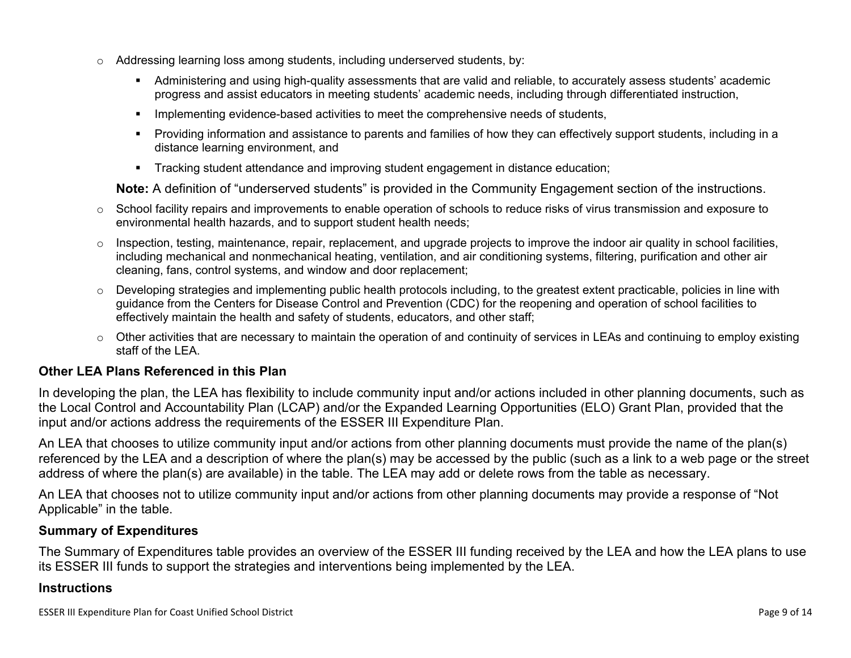- $\circ$  Addressing learning loss among students, including underserved students, by:
	- Administering and using high-quality assessments that are valid and reliable, to accurately assess students' academic progress and assist educators in meeting students' academic needs, including through differentiated instruction,
	- **•** Implementing evidence-based activities to meet the comprehensive needs of students,
	- Providing information and assistance to parents and families of how they can effectively support students, including in a distance learning environment, and
	- Tracking student attendance and improving student engagement in distance education;

**Note:** A definition of "underserved students" is provided in the Community Engagement section of the instructions.

- $\circ$  School facility repairs and improvements to enable operation of schools to reduce risks of virus transmission and exposure to environmental health hazards, and to support student health needs;
- $\circ$  Inspection, testing, maintenance, repair, replacement, and upgrade projects to improve the indoor air quality in school facilities, including mechanical and nonmechanical heating, ventilation, and air conditioning systems, filtering, purification and other air cleaning, fans, control systems, and window and door replacement;
- $\circ$  Developing strategies and implementing public health protocols including, to the greatest extent practicable, policies in line with guidance from the Centers for Disease Control and Prevention (CDC) for the reopening and operation of school facilities to effectively maintain the health and safety of students, educators, and other staff;
- $\circ$  Other activities that are necessary to maintain the operation of and continuity of services in LEAs and continuing to employ existing staff of the LEA.

### <span id="page-8-0"></span>**Other LEA Plans Referenced in this Plan**

In developing the plan, the LEA has flexibility to include community input and/or actions included in other planning documents, such as the Local Control and Accountability Plan (LCAP) and/or the Expanded Learning Opportunities (ELO) Grant Plan, provided that the input and/or actions address the requirements of the ESSER III Expenditure Plan.

An LEA that chooses to utilize community input and/or actions from other planning documents must provide the name of the plan(s) referenced by the LEA and a description of where the plan(s) may be accessed by the public (such as a link to a web page or the street address of where the plan(s) are available) in the table. The LEA may add or delete rows from the table as necessary.

An LEA that chooses not to utilize community input and/or actions from other planning documents may provide a response of "Not Applicable" in the table.

#### <span id="page-8-1"></span>**Summary of Expenditures**

The Summary of Expenditures table provides an overview of the ESSER III funding received by the LEA and how the LEA plans to use its ESSER III funds to support the strategies and interventions being implemented by the LEA.

#### **Instructions**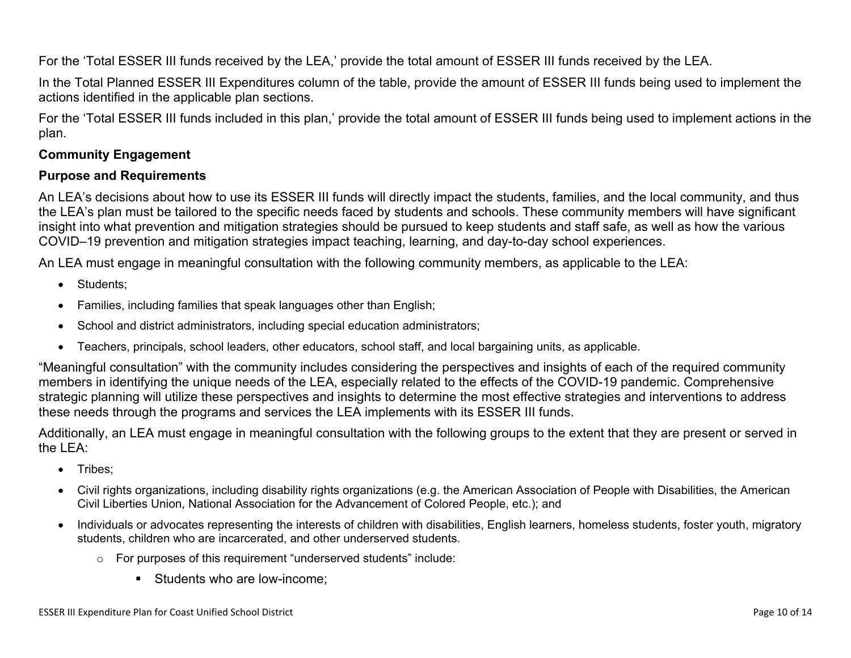For the 'Total ESSER III funds received by the LEA,' provide the total amount of ESSER III funds received by the LEA.

In the Total Planned ESSER III Expenditures column of the table, provide the amount of ESSER III funds being used to implement the actions identified in the applicable plan sections.

For the 'Total ESSER III funds included in this plan,' provide the total amount of ESSER III funds being used to implement actions in the plan.

### <span id="page-9-0"></span>**Community Engagement**

#### **Purpose and Requirements**

An LEA's decisions about how to use its ESSER III funds will directly impact the students, families, and the local community, and thus the LEA's plan must be tailored to the specific needs faced by students and schools. These community members will have significant insight into what prevention and mitigation strategies should be pursued to keep students and staff safe, as well as how the various COVID–19 prevention and mitigation strategies impact teaching, learning, and day-to-day school experiences.

An LEA must engage in meaningful consultation with the following community members, as applicable to the LEA:

- Students:
- Families, including families that speak languages other than English;
- School and district administrators, including special education administrators;
- Teachers, principals, school leaders, other educators, school staff, and local bargaining units, as applicable.

"Meaningful consultation" with the community includes considering the perspectives and insights of each of the required community members in identifying the unique needs of the LEA, especially related to the effects of the COVID-19 pandemic. Comprehensive strategic planning will utilize these perspectives and insights to determine the most effective strategies and interventions to address these needs through the programs and services the LEA implements with its ESSER III funds.

Additionally, an LEA must engage in meaningful consultation with the following groups to the extent that they are present or served in the LEA:

- Tribes:
- Civil rights organizations, including disability rights organizations (e.g. the American Association of People with Disabilities, the American Civil Liberties Union, National Association for the Advancement of Colored People, etc.); and
- Individuals or advocates representing the interests of children with disabilities, English learners, homeless students, foster youth, migratory students, children who are incarcerated, and other underserved students.
	- o For purposes of this requirement "underserved students" include:
		- Students who are low-income: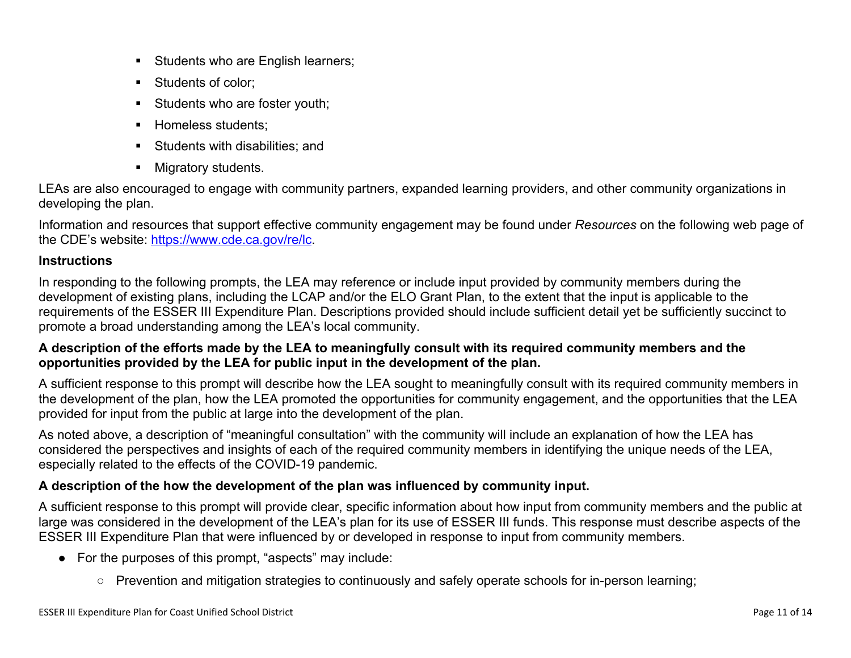- **EXEC** Students who are English learners;
- Students of color:
- **EXECUTE:** Students who are foster youth;
- **E** Homeless students;
- Students with disabilities: and
- Migratory students.

LEAs are also encouraged to engage with community partners, expanded learning providers, and other community organizations in developing the plan.

Information and resources that support effective community engagement may be found under *Resources* on the following web page of the CDE's website: <https://www.cde.ca.gov/re/lc>.

### **Instructions**

In responding to the following prompts, the LEA may reference or include input provided by community members during the development of existing plans, including the LCAP and/or the ELO Grant Plan, to the extent that the input is applicable to the requirements of the ESSER III Expenditure Plan. Descriptions provided should include sufficient detail yet be sufficiently succinct to promote a broad understanding among the LEA's local community.

### **A description of the efforts made by the LEA to meaningfully consult with its required community members and the opportunities provided by the LEA for public input in the development of the plan.**

A sufficient response to this prompt will describe how the LEA sought to meaningfully consult with its required community members in the development of the plan, how the LEA promoted the opportunities for community engagement, and the opportunities that the LEA provided for input from the public at large into the development of the plan.

As noted above, a description of "meaningful consultation" with the community will include an explanation of how the LEA has considered the perspectives and insights of each of the required community members in identifying the unique needs of the LEA, especially related to the effects of the COVID-19 pandemic.

## **A description of the how the development of the plan was influenced by community input.**

A sufficient response to this prompt will provide clear, specific information about how input from community members and the public at large was considered in the development of the LEA's plan for its use of ESSER III funds. This response must describe aspects of the ESSER III Expenditure Plan that were influenced by or developed in response to input from community members.

- For the purposes of this prompt, "aspects" may include:
	- Prevention and mitigation strategies to continuously and safely operate schools for in-person learning;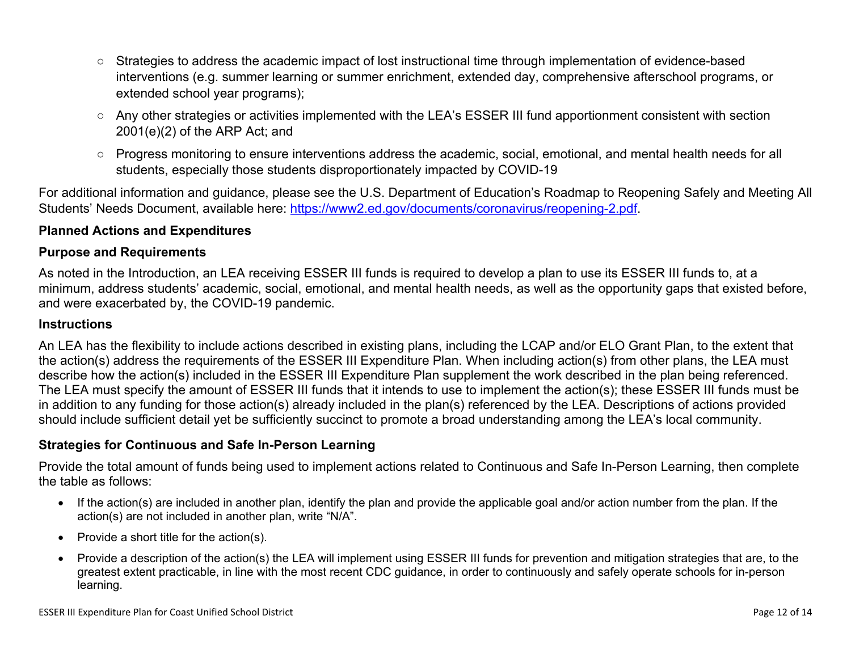- Strategies to address the academic impact of lost instructional time through implementation of evidence-based interventions (e.g. summer learning or summer enrichment, extended day, comprehensive afterschool programs, or extended school year programs);
- Any other strategies or activities implemented with the LEA's ESSER III fund apportionment consistent with section 2001(e)(2) of the ARP Act; and
- Progress monitoring to ensure interventions address the academic, social, emotional, and mental health needs for all students, especially those students disproportionately impacted by COVID-19

For additional information and guidance, please see the U.S. Department of Education's Roadmap to Reopening Safely and Meeting All Students' Needs Document, available here: [https://www2.ed.gov/documents/coronavirus/reopening-2.pdf.](https://www2.ed.gov/documents/coronavirus/reopening-2.pdf)

### <span id="page-11-0"></span>**Planned Actions and Expenditures**

#### **Purpose and Requirements**

As noted in the Introduction, an LEA receiving ESSER III funds is required to develop a plan to use its ESSER III funds to, at a minimum, address students' academic, social, emotional, and mental health needs, as well as the opportunity gaps that existed before, and were exacerbated by, the COVID-19 pandemic.

#### **Instructions**

An LEA has the flexibility to include actions described in existing plans, including the LCAP and/or ELO Grant Plan, to the extent that the action(s) address the requirements of the ESSER III Expenditure Plan. When including action(s) from other plans, the LEA must describe how the action(s) included in the ESSER III Expenditure Plan supplement the work described in the plan being referenced. The LEA must specify the amount of ESSER III funds that it intends to use to implement the action(s); these ESSER III funds must be in addition to any funding for those action(s) already included in the plan(s) referenced by the LEA. Descriptions of actions provided should include sufficient detail yet be sufficiently succinct to promote a broad understanding among the LEA's local community.

#### <span id="page-11-1"></span>**Strategies for Continuous and Safe In-Person Learning**

Provide the total amount of funds being used to implement actions related to Continuous and Safe In-Person Learning, then complete the table as follows:

- If the action(s) are included in another plan, identify the plan and provide the applicable goal and/or action number from the plan. If the action(s) are not included in another plan, write "N/A".
- Provide a short title for the action(s).
- Provide a description of the action(s) the LEA will implement using ESSER III funds for prevention and mitigation strategies that are, to the greatest extent practicable, in line with the most recent CDC guidance, in order to continuously and safely operate schools for in-person learning.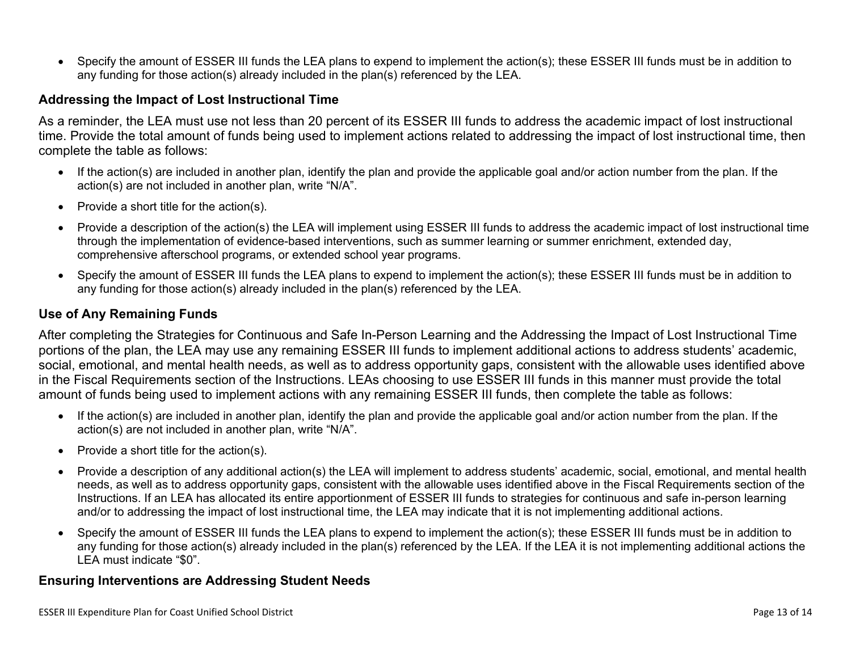• Specify the amount of ESSER III funds the LEA plans to expend to implement the action(s); these ESSER III funds must be in addition to any funding for those action(s) already included in the plan(s) referenced by the LEA.

#### <span id="page-12-0"></span>**Addressing the Impact of Lost Instructional Time**

As a reminder, the LEA must use not less than 20 percent of its ESSER III funds to address the academic impact of lost instructional time. Provide the total amount of funds being used to implement actions related to addressing the impact of lost instructional time, then complete the table as follows:

- If the action(s) are included in another plan, identify the plan and provide the applicable goal and/or action number from the plan. If the action(s) are not included in another plan, write "N/A".
- Provide a short title for the action(s).
- Provide a description of the action(s) the LEA will implement using ESSER III funds to address the academic impact of lost instructional time through the implementation of evidence-based interventions, such as summer learning or summer enrichment, extended day, comprehensive afterschool programs, or extended school year programs.
- Specify the amount of ESSER III funds the LEA plans to expend to implement the action(s); these ESSER III funds must be in addition to any funding for those action(s) already included in the plan(s) referenced by the LEA.

#### <span id="page-12-1"></span>**Use of Any Remaining Funds**

After completing the Strategies for Continuous and Safe In-Person Learning and the Addressing the Impact of Lost Instructional Time portions of the plan, the LEA may use any remaining ESSER III funds to implement additional actions to address students' academic, social, emotional, and mental health needs, as well as to address opportunity gaps, consistent with the allowable uses identified above in the Fiscal Requirements section of the Instructions. LEAs choosing to use ESSER III funds in this manner must provide the total amount of funds being used to implement actions with any remaining ESSER III funds, then complete the table as follows:

- If the action(s) are included in another plan, identify the plan and provide the applicable goal and/or action number from the plan. If the action(s) are not included in another plan, write "N/A".
- Provide a short title for the action(s).
- Provide a description of any additional action(s) the LEA will implement to address students' academic, social, emotional, and mental health needs, as well as to address opportunity gaps, consistent with the allowable uses identified above in the Fiscal Requirements section of the Instructions. If an LEA has allocated its entire apportionment of ESSER III funds to strategies for continuous and safe in-person learning and/or to addressing the impact of lost instructional time, the LEA may indicate that it is not implementing additional actions.
- Specify the amount of ESSER III funds the LEA plans to expend to implement the action(s); these ESSER III funds must be in addition to any funding for those action(s) already included in the plan(s) referenced by the LEA. If the LEA it is not implementing additional actions the LEA must indicate "\$0".

#### <span id="page-12-2"></span>**Ensuring Interventions are Addressing Student Needs**